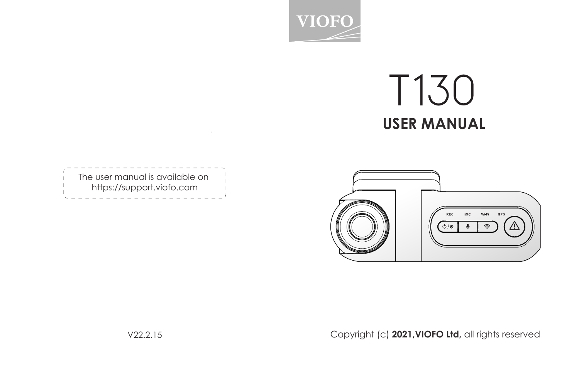

# **T130 USER MANUAL**

| The user manual is available on |
|---------------------------------|
| https://support.viofo.com       |
|                                 |
|                                 |

**Contractor** 



Copyright (c) **2021,VIOFO Ltd,** all rights reserved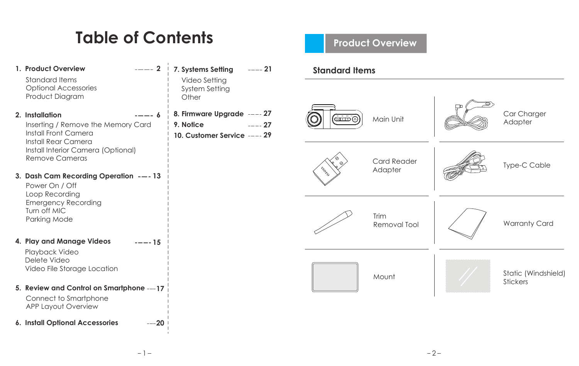## **Table of Contents**

| 1. Product Overview<br>$--- 2$<br>Standard Items<br><b>Optional Accessories</b><br>Product Diagram                                                                    | $--- 21$<br>7. Systems Setting<br>Video Setting<br>System Setting<br>Other           |
|-----------------------------------------------------------------------------------------------------------------------------------------------------------------------|--------------------------------------------------------------------------------------|
| 2. Installation<br>--- 6<br>Inserting / Remove the Memory Card<br>Install Front Camera<br>Install Rear Camera<br>Install Interior Camera (Optional)<br>Remove Cameras | 8. Firmware Upgrade ---- 27<br>9. Notice<br>$--- 27$<br>10. Customer Service ---- 29 |
| 3. Dash Cam Recording Operation ---13<br>Power On / Off<br>Loop Recording<br><b>Emergency Recording</b><br>Turn off MIC<br>Parking Mode                               |                                                                                      |
| 4. Play and Manage Videos<br>$--- 15$<br>Playback Video<br>Delete Video<br>Video File Storage Location                                                                |                                                                                      |
| 5. Review and Control on Smartphone ---17<br>Connect to Smartphone<br><b>APP Layout Overview</b>                                                                      |                                                                                      |
| 6. Install Optional Accessories<br>$---20$                                                                                                                            |                                                                                      |

## **Product Overview**

## **Standard Items**

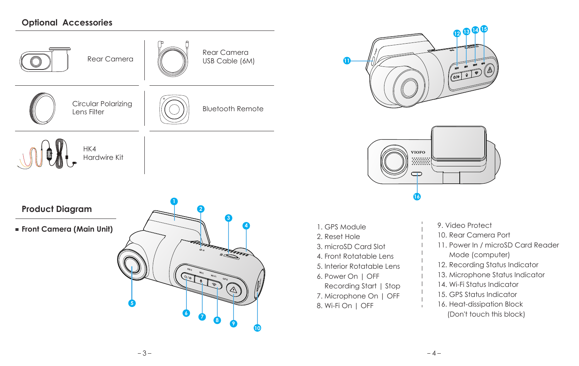## **Optional Accessories**



**Product Diagram**

**Front Camera (Main Unit) Front Camera** (Main Unit)







- 1. GPS Module
- 2. Reset Hole
- 3. microSD Card Slot
- 4. Front Rotatable Lens
- 5. Interior Rotatable Lens
- 6. Power On | OFF
	- Recording Start | Stop
- 7. Microphone On | OFF
- 8. Wi-Fi On | OFF
- 9. Video Protect
- 10. Rear Camera Port
- 11. Power In / microSD Card Reader Mode (computer)
- 12. Recording Status Indicator
- 13. Microphone Status Indicator
- 14. Wi-Fi Status Indicator
- 15. GPS Status Indicator
- 16. Heat-dissipation Block (Don't touch this block)

 $\alpha$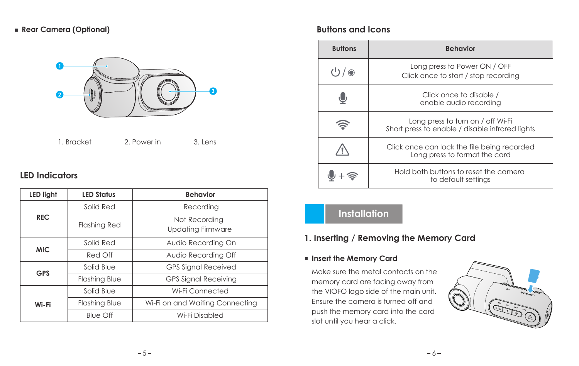## **Rear Camera (Optional)**



1. Bracket 2. Power in 3. Lens

## **LED Indicators**

| <b>LED light</b> | <b>LED Status</b>    | <b>Behavior</b>                           |
|------------------|----------------------|-------------------------------------------|
| <b>REC</b>       | Solid Red            | Recording                                 |
|                  | <b>Flashing Red</b>  | Not Recording<br><b>Updating Firmware</b> |
| <b>MIC</b>       | Solid Red            | Audio Recording On                        |
|                  | Red Off              | Audio Recording Off                       |
| <b>GPS</b>       | Solid Blue           | <b>GPS Signal Received</b>                |
|                  | <b>Flashing Blue</b> | <b>GPS Signal Receiving</b>               |
|                  | Solid Blue           | Wi-Fi Connected                           |
| Wi-Fi            | <b>Flashing Blue</b> | Wi-Fi on and Waiting Connecting           |
|                  | Blue Off             | Wi-Fi Disabled                            |

## **Buttons and Icons**

| <b>Buttons</b> | <b>Behavior</b>                                                                      |
|----------------|--------------------------------------------------------------------------------------|
| じ / ◉          | Long press to Power ON / OFF<br>Click once to start / stop recording                 |
|                | Click once to disable /<br>enable audio recording                                    |
|                | Long press to turn on / off Wi-Fi<br>Short press to enable / disable infrared lights |
|                | Click once can lock the file being recorded<br>Long press to format the card         |
|                | Hold both buttons to reset the camera<br>to default settings                         |

## **Installation**

## **1. Inserting / Removing the Memory Card**

## **Insert the Memory Card**

Make sure the metal contacts on the memory card are facing away from the VIOFO logo side of the main unit. Ensure the camera is turned off and push the memory card into the card slot until you hear a click.

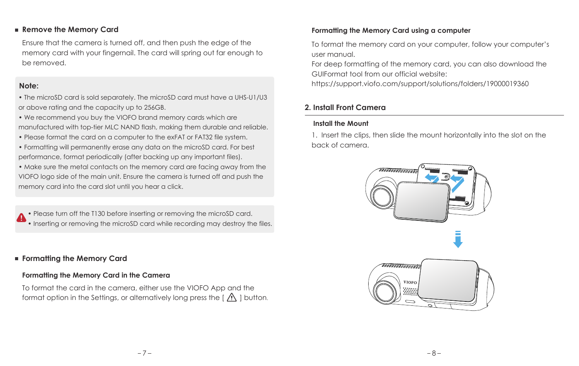#### **Remove the Memory Card**

Ensure that the camera is turned off, and then push the edge of the memory card with your fingernail. The card will spring out far enough to be removed.

#### **Note:**

• The microSD card is sold separately. The microSD card must have a UHS-U1/U3 or above rating and the capacity up to 256GB.

- We recommend you buy the VIOFO brand memory cards which are manufactured with top-tier MLC NAND flash, making them durable and reliable.
- Please format the card on a computer to the exFAT or FAT32 file system.
- Formatting will permanently erase any data on the microSD card. For best performance, format periodically (after backing up any important files).
- Make sure the metal contacts on the memory card are facing away from the VIOFO logo side of the main unit. Ensure the camera is turned off and push the memory card into the card slot until you hear a click.

• Please turn off the T130 before inserting or removing the microSD card. • Inserting or removing the microSD card while recording may destroy the files.

## **Formatting the Memory Card**

## **Formatting the Memory Card in the Camera**

To format the card in the camera, either use the VIOFO App and the format option in the Settings, or alternatively long press the  $\lceil A \rceil$  button.

## **Formatting the Memory Card using a computer**

To format the memory card on your computer, follow your computer's user manual.

For deep formatting of the memory card, you can also download the GUIFormat tool from our official website:

https://support.viofo.com/support/solutions/folders/19000019360

## **2. Install Front Camera**

## **Install the Mount**

1. Insert the clips, then slide the mount horizontally into the slot on the back of camera.

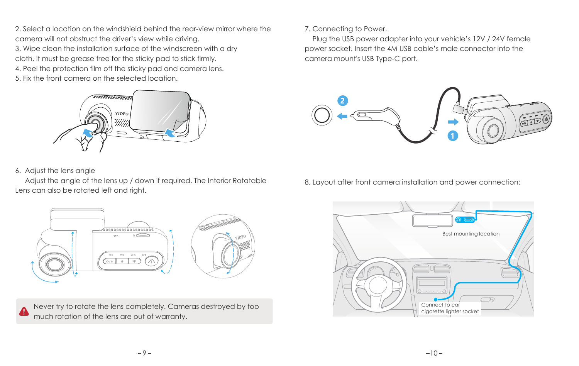2. Select a location on the windshield behind the rear-view mirror where the camera will not obstruct the driver's view while driving. 3. Wipe clean the installation surface of the windscreen with a dry cloth, it must be grease free for the sticky pad to stick firmly. 4. Peel the protection film off the sticky pad and camera lens. 5. Fix the front camera on the selected location.



#### 6. Adjust the lens angle

 Adjust the angle of the lens up / down if required. The Interior Rotatable Lens can also be rotated left and right.

## 7. Connecting to Power.

 Plug the USB power adapter into your vehicle's 12V / 24V female power socket. Insert the 4M USB cable's male connector into the camera mount's USB Type-C port.



8. Layout after front camera installation and power connection:



Never try to rotate the lens completely. Cameras destroyed by too much rotation of the lens are out of warranty.

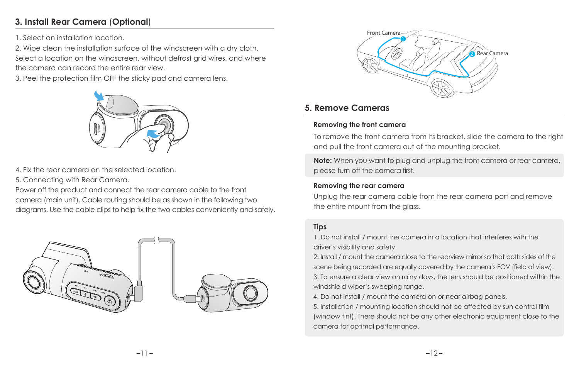## **3. Install Rear Camera** (**Optional**)

1. Select an installation location.

2. Wipe clean the installation surface of the windscreen with a dry cloth. Select a location on the windscreen, without defrost grid wires, and where the camera can record the entire rear view.

3. Peel the protection film OFF the sticky pad and camera lens.



4. Fix the rear camera on the selected location.

5. Connecting with Rear Camera.

Power off the product and connect the rear camera cable to the front camera (main unit). Cable routing should be as shown in the following two diagrams. Use the cable clips to help fix the two cables conveniently and safely.





## **5. Remove Cameras**

## **Removing the front camera**

To remove the front camera from its bracket, slide the camera to the right and pull the front camera out of the mounting bracket.

**Note:** When you want to plug and unplug the front camera or rear camera, please turn off the camera first.

## **Removing the rear camera**

Unplug the rear camera cable from the rear camera port and remove the entire mount from the glass.

## **Tips**

1. Do not install / mount the camera in a location that interferes with the driver's visibility and safety.

2. Install / mount the camera close to the rearview mirror so that both sides of the scene being recorded are equally covered by the camera's FOV (field of view).

3. To ensure a clear view on rainy days, the lens should be positioned within the windshield wiper's sweeping range.

4. Do not install / mount the camera on or near airbag panels.

5. Installation / mounting location should not be affected by sun control film (window tint). There should not be any other electronic equipment close to the camera for optimal performance.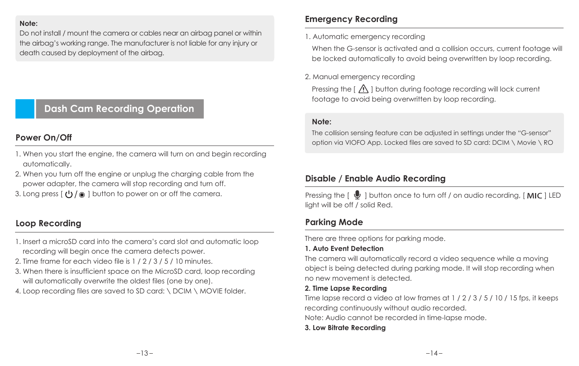#### **Note:**

Do not install / mount the camera or cables near an airbag panel or within the airbag's working range. The manufacturer is not liable for any injury or death caused by deployment of the airbag.

## **Dash Cam Recording Operation**

## **Power On/Off**

- 1. When you start the engine, the camera will turn on and begin recording automatically.
- 2. When you turn off the engine or unplug the charging cable from the power adapter, the camera will stop recording and turn off.
- 3. Long press  $\left[\right]$  ( $\left[\right]$ ) /  $\circ$  I button to power on or off the camera.

## **Loop Recording**

- 1. Insert a microSD card into the camera's card slot and automatic loop recording will begin once the camera detects power.
- 2. Time frame for each video file is 1 / 2 / 3 / 5 / 10 minutes.
- 3. When there is insufficient space on the MicroSD card, loop recording will automatically overwrite the oldest files (one by one).
- 4. Loop recording files are saved to SD card: \ DCIM \ MOVIE folder.

## **Emergency Recording**

1. Automatic emergency recording

When the G-sensor is activated and a collision occurs, current footage will be locked automatically to avoid being overwritten by loop recording.

2. Manual emergency recording

Pressing the  $\left[ \right.$   $\bigwedge$  1 button during footage recording will lock current footage to avoid being overwritten by loop recording.

#### **Note:**

The collision sensing feature can be adjusted in settings under the "G-sensor" option via VIOFO App. Locked files are saved to SD card: DCIM \ Movie \ RO

## **Disable / Enable Audio Recording**

Pressing the  $\lceil \bigcirc \bigcirc \rceil$  button once to turn off / on audio recording, [ MIC ] LED light will be off / solid Red.

## **Parking Mode**

There are three options for parking mode.

## **1. Auto Event Detection**

The camera will automatically record a video sequence while a moving object is being detected during parking mode. It will stop recording when no new movement is detected.

#### **2. Time Lapse Recording**

Time lapse record a video at low frames at 1 / 2 / 3 / 5 / 10 / 15 fps, it keeps recording continuously without audio recorded.

Note: Audio cannot be recorded in time-lapse mode.

## **3. Low Bitrate Recording**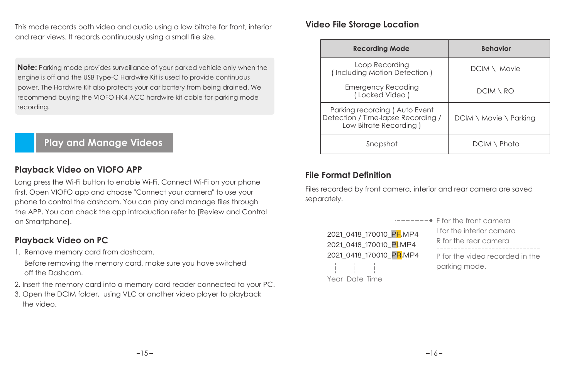This mode records both video and audio using a low bitrate for front, interior and rear views. It records continuously using a small file size.

**Note:** Parking mode provides surveillance of your parked vehicle only when the engine is off and the USB Type-C Hardwire Kit is used to provide continuous power. The Hardwire Kit also protects your car battery from being drained. We recommend buying the VIOFO HK4 ACC hardwire kit cable for parking mode recording.

## **Play and Manage Videos**

## **Playback Video on VIOFO APP**

Long press the Wi-Fi button to enable Wi-Fi. Connect Wi-Fi on your phone first. Open VIOFO app and choose "Connect your camera" to use your phone to control the dashcam. You can play and manage files through the APP. You can check the app introduction refer to [Review and Control on Smartphone].

## **Playback Video on PC**

1. Remove memory card from dashcam.

Before removing the memory card, make sure you have switched off the Dashcam.

- 2. Insert the memory card into a memory card reader connected to your PC.
- 3. Open the DCIM folder, using VLC or another video player to playback the video.

## **Video File Storage Location**

| <b>Recording Mode</b>                                                                         | <b>Behavior</b>                          |
|-----------------------------------------------------------------------------------------------|------------------------------------------|
| Loop Recording<br>(Including Motion Detection)                                                | $DCIM \setminus Movie$                   |
| <b>Emergency Recoding</b><br>(Locked Video)                                                   | DCIM \ RO                                |
| Parking recording (Auto Event<br>Detection / Time-lapse Recording /<br>Low Bitrate Recording) | $DCIM \setminus Movie \setminus Parking$ |
| Snapshot                                                                                      | DCIM \ Photo                             |

## **File Format Definition**

Files recorded by front camera, interior and rear camera are saved separately.

| 2021 0418 170010 PF.MP4 |  |
|-------------------------|--|
| 2021 0418 170010 PLMP4  |  |
| 2021 0418 170010 PR.MP4 |  |
|                         |  |
| Year Date Time          |  |

| $\bullet$ F for the front camera                 |
|--------------------------------------------------|
| I for the interior camera                        |
| R for the rear camera                            |
| P for the video recorded in the<br>parking mode. |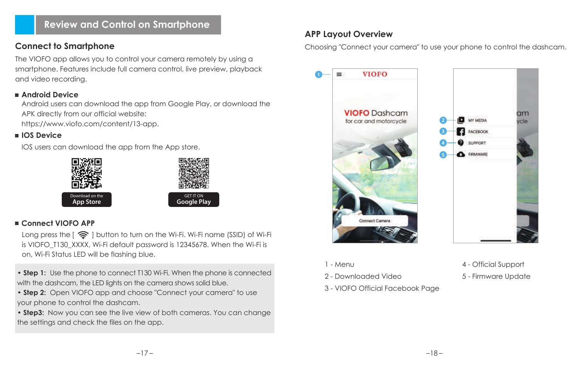## **Review and Control on Smartphone**

## **Connect to Smartphone**

The VIOFO app allows you to control your camera remotely by using a smartphone. Features include full camera control, live preview, playback and video recording.

## **Android Device**

Android users can download the app from Google Play, or download the APK directly from our official website:

https://www.viofo.com/content/13-app.

## **IOS Device**

IOS users can download the app from the App store.



## **Connect VIOFO APP**

Long press the  $\left\{ \widehat{\mathbb{R}}\right\}$  I button to turn on the Wi-Fi. Wi-Fi name (SSID) of Wi-Fi is VIOFO\_T130\_XXXX, Wi-Fi default password is 12345678. When the Wi-Fi is on, Wi-Fi Status LED will be flashing blue.

• **Step 1:** Use the phone to connect T130 Wi-Fi. When the phone is connected with the dashcam, the LED lights on the camera shows solid blue.

• **Step 2:** Open VIOFO app and choose "Connect your camera" to use your phone to control the dashcam.

• **Step3:** Now you can see the live view of both cameras. You can change the settings and check the files on the app.

## **APP Layout Overview**

Choosing "Connect your camera" to use your phone to control the dashcam.



- $1 M$ enu
- 2 Downloaded Video
- 3 VIOFO Official Facebook Page
- 4 Official Support
- 5 Firmware Update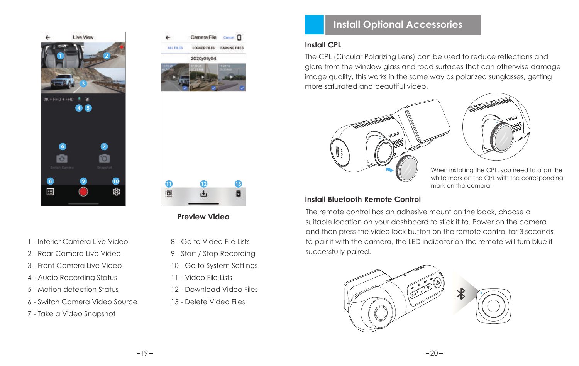



**Preview Video**

- 1 Interior Camera Live Video
- 2 Rear Camera Live Video
- 3 Front Camera Live Video
- 4 Audio Recording Status
- 5 Motion detection Status
- 6 Switch Camera Video Source
- 7 Take a Video Snapshot
- 8 Go to Video File Lists
- 9 Start / Stop Recording
- 10 Go to System Settings
- 11 Video File Lists
- 12 Download Video Files
- 13 Delete Video Files

## **Install Optional Accessories**

## **Install CPL**

The CPL (Circular Polarizing Lens) can be used to reduce reflections and glare from the window glass and road surfaces that can otherwise damage image quality, this works in the same way as polarized sunglasses, getting more saturated and beautiful video.





When installing the CPL, you need to align the white mark on the CPL with the corresponding mark on the camera.

## **Install Bluetooth Remote Control**

The remote control has an adhesive mount on the back, choose a suitable location on your dashboard to stick it to. Power on the camera and then press the video lock button on the remote control for 3 seconds to pair it with the camera, the LED indicator on the remote will turn blue if successfully paired.

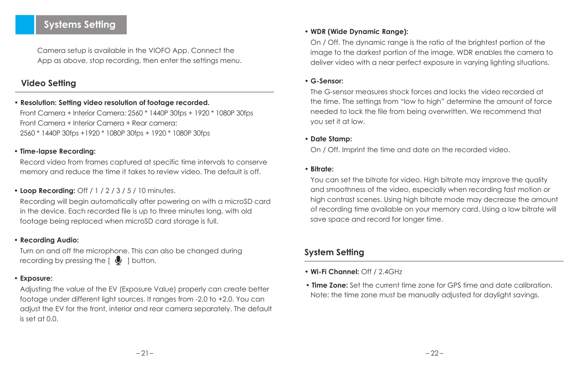## **Systems Setting**

Camera setup is available in the VIOFO App. Connect the App as above, stop recording, then enter the settings menu.

## **Video Setting**

## **• Resolution: Setting video resolution of footage recorded.**

Front Camera + Interior Camera: 2560 \* 1440P 30fps + 1920 \* 1080P 30fps Front Camera + Interior Camera + Rear camera: 2560 \* 1440P 30fps +1920 \* 1080P 30fps + 1920 \* 1080P 30fps

#### **• Time-lapse Recording:**

Record video from frames captured at specific time intervals to conserve memory and reduce the time it takes to review video. The default is off.

#### **• Loop Recording:** Off / 1 / 2 / 3 / 5 / 10 minutes.

Recording will begin automatically after powering on with a microSD card in the device. Each recorded file is up to three minutes long, with old footage being replaced when microSD card storage is full.

## **• Recording Audio:**

Turn on and off the microphone. This can also be changed during recording by pressing the  $\lceil \bigcup \cdot \rceil$  button.

#### **• Exposure:**

Adjusting the value of the EV (Exposure Value) properly can create better footage under different light sources. It ranges from -2.0 to +2.0. You can adjust the EV for the front, interior and rear camera separately. The default  $0.0$  to test at  $0.0$ .

## **• WDR (Wide Dynamic Range):**

On / Off. The dynamic range is the ratio of the brightest portion of the image to the darkest portion of the image. WDR enables the camera to deliver video with a near perfect exposure in varying lighting situations.

#### **• G-Sensor:**

The G-sensor measures shock forces and locks the video recorded at the time. The settings from "low to high" determine the amount of force needed to lock the file from being overwritten. We recommend that you set it at low.

#### **• Date Stamp:**

On / Off. Imprint the time and date on the recorded video.

#### **• Bitrate:**

You can set the bitrate for video. High bitrate may improve the quality and smoothness of the video, especially when recording fast motion or high contrast scenes. Using high bitrate mode may decrease the amount of recording time available on your memory card. Using a low bitrate will save space and record for longer time.

## **System Setting**

- **Wi-Fi Channel:** Off / 2.4GHz
- **Time Zone:** Set the current time zone for GPS time and date calibration. Note: the time zone must be manually adjusted for daylight savings.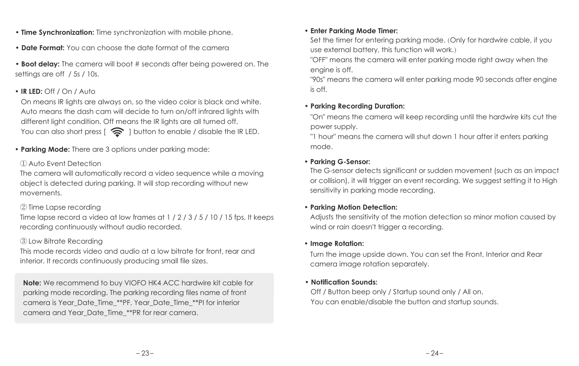- **Time Synchronization:** Time synchronization with mobile phone.
- **Date Format:** You can choose the date format of the camera

**• Boot delay:** The camera will boot # seconds after being powered on. The settings are off / 5s / 10s.

## **• IR LED:** Off / On / Auto

On means IR lights are always on, so the video color is black and white. Auto means the dash cam will decide to turn on/off infrared lights with different light condition. Off means the IR lights are all turned off. You can also short press  $\widehat{B}$  I button to enable / disable the IR LED.

**• Parking Mode:** There are 3 options under parking mode:

#### ① Auto Event Detection

The camera will automatically record a video sequence while a moving object is detected during parking. It will stop recording without new movements.

## ② Time Lapse recording

Time lapse record a video at low frames at 1 / 2 / 3 / 5 / 10 / 15 fps, It keeps recording continuously without audio recorded.

## ③ Low Bitrate Recording

This mode records video and audio at a low bitrate for front, rear and interior. It records continuously producing small file sizes.

**Note:** We recommend to buy VIOFO HK4 ACC hardwire kit cable for parking mode recording. The parking recording files name of front camera is Year\_Date\_Time\_\*\*PF, Year\_Date\_Time\_\*\*PI for interior camera and Year\_Date\_Time\_\*\*PR for rear camera.

#### **• Enter Parking Mode Timer:**

Set the timer for entering parking mode. (Only for hardwire cable, if you use external battery, this function will work.)

"OFF" means the camera will enter parking mode right away when the engine is off.

"90s" means the camera will enter parking mode 90 seconds after engine is off.

## **• Parking Recording Duration:**

"On" means the camera will keep recording until the hardwire kits cut the power supply.

"1 hour" means the camera will shut down 1 hour after it enters parking mode.

#### **• Parking G-Sensor:**

The G-sensor detects significant or sudden movement (such as an impact or collision), it will trigger an event recording. We suggest setting it to High sensitivity in parking mode recording.

#### **• Parking Motion Detection:**

Adjusts the sensitivity of the motion detection so minor motion caused by wind or rain doesn't trigger a recording.

#### **• Image Rotation:**

Turn the image upside down. You can set the Front, Interior and Rear camera image rotation separately.

#### **• Notification Sounds:**

 Off / Button beep only / Startup sound only / All on. You can enable/disable the button and startup sounds.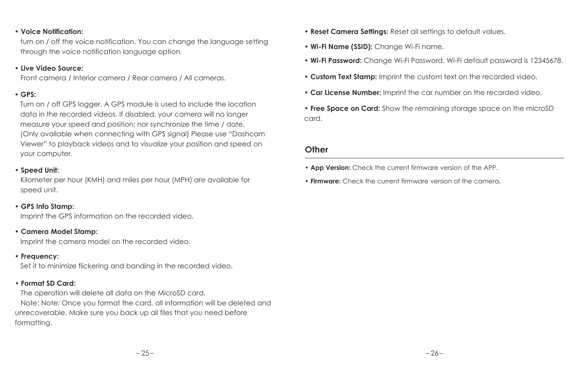#### **• Voice Notification:**

 turn on / off the voice notification. You can change the language setting through the voice notification language option.

#### **• Live Video Source:**

Front camera / Interior camera / Rear camera / All cameras.

#### **• GPS:**

 Turn on / off GPS logger. A GPS module is used to include the location data in the recorded videos. If disabled, your camera will no longer measure your speed and position; nor synchronize the time / date. (Only available when connecting with GPS signal) Please use "Dashcam Viewer" to playback videos and to visualize your position and speed on your computer.

## **• Speed Unit:**

 Kilometer per hour (KMH) and miles per hour (MPH) are available for speed unit.

#### **• GPS Info Stamp:**

Imprint the GPS information on the recorded video.

#### **• Camera Model Stamp:**

Imprint the camera model on the recorded video.

#### **• Frequency:**

Set it to minimize flickering and banding in the recorded video.

#### **• Format SD Card:**

 The operation will delete all data on the MicroSD card. Note: Note: Once you format the card, all information will be deleted and unrecoverable. Make sure you back up all files that you need before formatting.

- **Reset Camera Settings:** Reset all settings to default values.
- **Wi-Fi Name (SSID):** Change Wi-Fi name.
- **Wi-Fi Password:** Change Wi-Fi Password. Wi-Fi default password is 12345678.
- **Custom Text Stamp:** Imprint the custom text on the recorded video.
- **Car License Number:** Imprint the car number on the recorded video.

**• Free Space on Card:** Show the remaining storage space on the microSD card.

#### **Other**

- **App Version:** Check the current firmware version of the APP.
- **Firmware:** Check the current firmware version of the camera.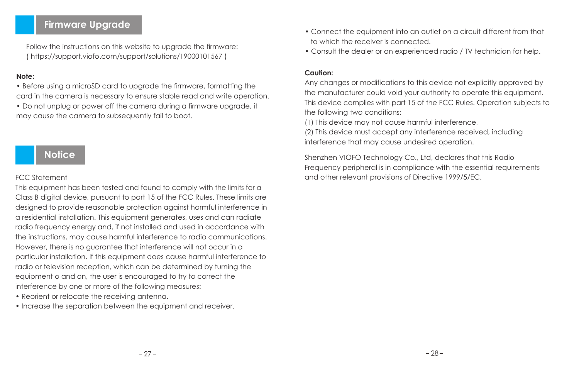## **Firmware Upgrade**

Follow the instructions on this website to upgrade the firmware: ( https://support.viofo.com/support/solutions/19000101567 )

#### **Note:**

• Before using a microSD card to upgrade the firmware, formatting the card in the camera is necessary to ensure stable read and write operation.

• Do not unplug or power off the camera during a firmware upgrade, it may cause the camera to subsequently fail to boot.

## **Notice**

#### FCC Statement

This equipment has been tested and found to comply with the limits for a Class B digital device, pursuant to part 15 of the FCC Rules. These limits are designed to provide reasonable protection against harmful interference in a residential installation. This equipment generates, uses and can radiate radio frequency energy and, if not installed and used in accordance with the instructions, may cause harmful interference to radio communications. However, there is no guarantee that interference will not occur in a particular installation. If this equipment does cause harmful interference to radio or television reception, which can be determined by turning the equipment o and on, the user is encouraged to try to correct the interference by one or more of the following measures:

- Reorient or relocate the receiving antenna.
- Increase the separation between the equipment and receiver.
- Connect the equipment into an outlet on a circuit different from that to which the receiver is connected.
- Consult the dealer or an experienced radio / TV technician for help.

#### **Caution:**

Any changes or modifications to this device not explicitly approved by the manufacturer could void your authority to operate this equipment. This device complies with part 15 of the FCC Rules. Operation subjects to the following two conditions:

(1) This device may not cause harmful interference.

(2) This device must accept any interference received, including interference that may cause undesired operation.

Shenzhen VIOFO Technology Co., Ltd, declares that this Radio Frequency peripheral is in compliance with the essential requirements and other relevant provisions of Directive 1999/5/EC.